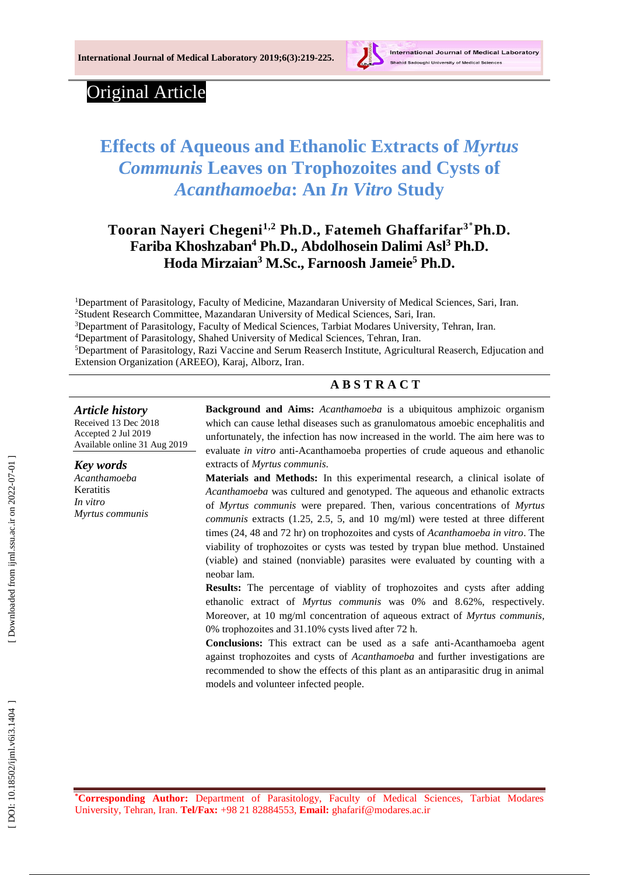

# Original Article

# **Effects of Aqueous and Ethanolic Extracts of** *Myrtus Communis* **Leaves on Trophozoites and Cysts of**  *Acanthamoeba***: An**  *In Vitro* **Study**

# **Tooran Nayeri Chegeni1,2 Ph .D., Fatemeh Ghaffarifar 3 ٭Ph.D. Fariba Khoshzaban <sup>4</sup> Ph.D., Abdolhosein Dalimi Asl <sup>3</sup> Ph.D. Hoda Mirzaian <sup>3</sup> M.Sc., Farnoosh Jameie <sup>5</sup> Ph . D .**

Department of Parasitology, Faculty of Medicine, Mazandaran University of Medical Sciences, Sari, Iran. Student Research Committee, Mazandaran University of Medical Sciences, Sari, Iran. Department of Parasitology, Faculty of Medical Sciences, Tarbiat Modares University, Tehran, Iran. Department of Parasitology, Shahed University of Medical Sciences, Tehran, Iran. Department of Parasitology, Razi Vaccine and Serum Reaserch Institute, Agricultural Reaserch, Edjucation and Extension Organization (AREEO), Karaj, Alborz, Iran .

## **A B S T R A C T**

#### *Article history*

Received 1 3 Dec 201 8 Accepted 2 Jul 201 9 Available online 31 Aug 201 9

*Key words Acanthamoeba* Keratitis *In vitro Myrtus communis* **Background and Aims:** *Acanthamoeba* is a ubiquitous amphizoic organism which can cause lethal diseases such as granulomatous amoebic encephalitis and unfortunately , the infection has now increased in the world. The aim here was to evaluate *in vitro* anti - Acanthamoeba properties of crude aqueous and ethanolic extracts of *Myrtus communis*.

**Materials and Methods:** In this experimental research, a clinical isolate of *Acanthamoeba* was cultured and genotyped. The aqueous and ethanolic extracts of *Myrtus communis* were prepared. Then, various concentrations of *Myrtus communis* extracts (1.25, 2.5, 5, and 10 mg/ml ) were tested at three different times (24, 48 and 72 h r) on trophozoites and cysts of *Acanthamoeba in vitro*. The viability of trophozoites or cysts was tested by trypan blue method. Unstained (viable) and stained (nonviable) parasites were evaluated by counting with a neobar lam.

**Results:** The percentage of viablity of trophozoites and cysts after adding ethanolic extract of *Myrtus communis* was 0% and 8 .62%, respectively. Moreover, at 10 mg/ml concentration of aqueous extract of *Myrtus communis,* 0% trophozoites and 31.10% cysts lived after 72 h.

**Conclusions:** This extract can be used as a safe anti -Acanthamoeba agent against trophozoites and cysts of *Acanthamoeba* and further investigations are recommended to show the effects of this plant as an antiparasitic drug in animal models and volunteer infected people.

DOI: 10.18502/ijml.v6i3.1404

**\*Corresponding Author :** Department of Parasitology, Faculty of Medical Sciences, Tarbiat Modares University, Tehran, Iran . **Tel/Fax:** +98 21 82884553, **Email:** ghafarif@modares.ac.ir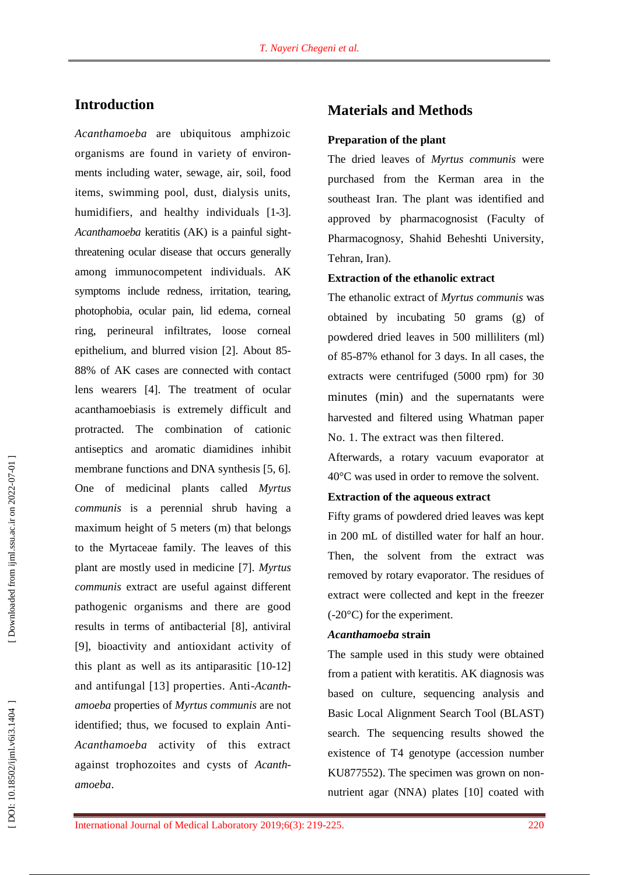## **Introduction**

*Acanthamoeba* are ubiquitous amphizoic organisms are found in variety of environ ments including water, sewage, air, soil, food items, swimming pool, dust, dialysis units, humidifiers, and healthy individuals [1 -3]. *Acanthamoeba* keratitis (AK) is a painful sight threatening ocular disease that occurs generally among immunocompetent individuals. AK symptoms include redness, irritation, tearing, photophobia, ocular pain, lid edema, corneal ring, perineural infiltrates, loose corneal epithelium , and blurred vision [2]. About 85 - 88% of AK cases are connected with contact lens wearers [4]. The treatment of ocular acanthamoebiasis is extremely difficult and protracted. The combination of cationic antiseptics and aromatic diamidines inhibit membrane functions and DNA synthesis [5, 6] . One of medicinal plants called *Myrtus communis* is a perennial shrub having a maximum height of 5 meters (m) that belongs to the Myrtaceae family. The leaves of this plant are mostly used in medicine [7]. *Myrtus communis* extract are useful against different pathogenic organisms and there are good results in terms of antibacterial [8], antiviral [9], bioactivity and antioxidant activity of this plant as well as its antiparasitic [10 -12] and antifungal [13] properties. Anti -*Acanth amoeba* properties of *Myrtus communis* are not identified; thus, we focused to explain Anti - *Acanthamoeb a* activity of this extract against trophozoites and cysts of *Acanth amoeba* .

# **Materials and Methods**

#### **Preparation of the plant**

The dried leaves of *Myrtus communis* were purchased from the Kerman area in the southeast Iran. The plant was identified and approved by pharmacognosist (Faculty of Pharmacognosy, Shahid Beheshti University, Tehran, Iran).

#### **Extraction of the ethanolic extract**

The ethanolic extract of *Myrtus communis* was obtained by incubating 50 grams (g) of powdered dried leaves in 500 milliliters (ml) of 85 -87% ethanol for 3 days. In all cases , the extracts were centrifuged (5000 rpm) for 30 minutes (min) and the supernatants were harvested and filtered using Whatman paper No. 1. The extract was then filtered.

Afterwards, a rotary vacuum evaporator at 40°C was used in order to remove the solvent.

#### **Extraction of the aqueous extract**

Fifty grams of powdered dried leaves was kept in 200 mL of distilled water for half an hour. Then, the solvent from the extract was removed by rotary evaporator. The residues of extract were collected and kept in the freezer (-20°C) for the experiment.

#### *Acanthamoeba* **strain**

The sample used in this study were obtained from a patient with keratitis. AK diagnosis was based on culture, sequencing analysis and Basic Local Alignment Search Tool (BLAST) search. The sequencing results showed the existence of T4 genotype (accession number KU877552). The specimen was grown on nonnutrient agar (NNA) plates [10] coated with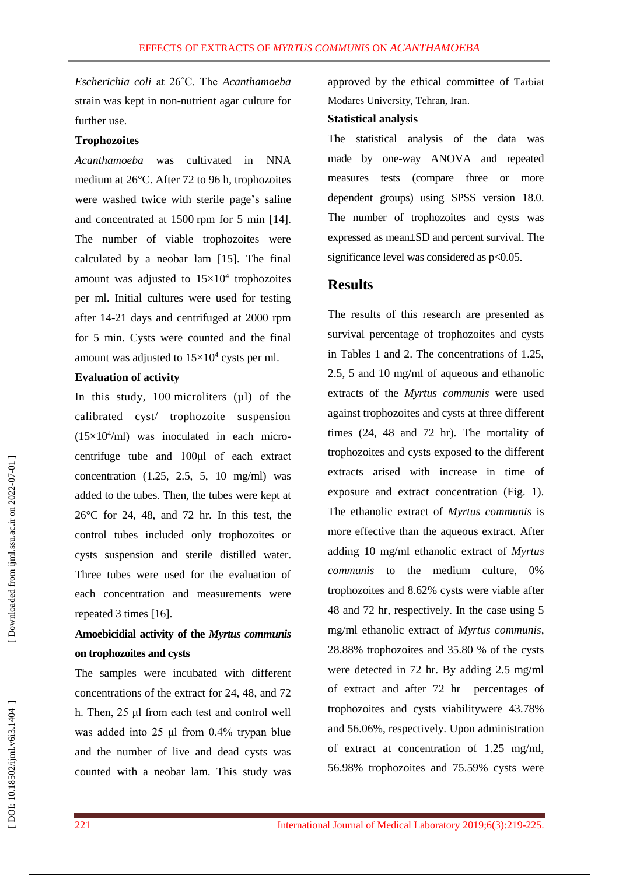*Escherichia coli* at 26˚C. The *Acanthamoeba*  strain was kept in non -nutrient agar culture for further use.

#### **Trophozoites**

*Acanthamoeba* was cultivated in NNA medium at 26°C. After 72 to 96 h, trophozoites were washed twice with sterile page 's saline and concentrated at 150 0 rpm for 5 min [14]. The number of viable trophozoites were calculated by a neobar lam [15]. The final amount was adjusted to  $15 \times 10^4$  trophozoites per ml . Initial cultures were used for testing after 14 -21 days and centrifuged at 2000 rpm for 5 min. Cysts were counted and the final amount was adjusted to  $15 \times 10^4$  cysts per ml.

#### **Evaluation of activity**

In this study, 100 microliters  $(\mu l)$  of the calibrated cyst/ trophozoite suspension  $(15\times10^4/\text{ml})$  was inoculated in each microcentrifuge tube and 100μl of each extract concentration (1.25, 2.5, 5, 10 mg/ml) was added to the tubes. Then, the tubes were kept at 26°C for 24, 48, and 72 h r. In this test, the control tubes included only trophozoites or cysts suspension and sterile distilled water. Three tubes were used for the evaluation of each concentration and measurements were repeated 3 times [16].

# **Amoebicidial activity of the** *Myrtus communis* **on trophozoites and cysts**

The samples were incubated with different concentrations of the extract for 24, 48, and 72 h. Then, 25 μl from each test and control well was added into 25 μl from 0.4% trypan blue and the number of live and dead cysts was counted with a neobar lam. This study was

approved by the ethical committee of Tarbiat Modares University, Tehran, Iran .

#### **Statistical analysis**

The statistical analysis of the data was made by one -way ANOVA and repeated measures tests (compare three or more dependent groups) using SPSS version 18.0. The number of trophozoites and cysts was expressed as mean±SD and percent survival. The significance level was considered as p<0.05.

# **Results**

The results of this research are presented as survival percentage of trophozoites and cysts in Tables 1 and 2. The concentrations of 1.25, 2.5, 5 and 10 mg/ml of aqueous and ethanolic extracts of the *Myrtus communis* were used against trophozoites and cysts at three different times (24, 48 and 72 hr). The mortality of trophozoites and cysts exposed to the different extracts arised with increase in time of exposure and extract concentration (Fig. 1). The ethanolic extract of *Myrtus communis* is more effective than the aqueous extract . After adding 10 mg/ml ethanolic extract of *Myrtus communis* to the medium culture , 0% trophozoites and 8.62% cysts were viable after 48 and 72 h r, respectively. In the case using 5 mg/ml ethanolic extract of *Myrtus communis*, 28.88 % trophozoites and 35.80 % of the cysts were detected in 72 h r. By adding 2.5 mg/ml of extract and after 72 h r percentages of trophozoites and cysts viabilitywere 43.78% and 56.06 %, respectively. Upon administration of extract at concentration of 1.25 mg/ml , 56.98% trophozoites and 75.59% cysts were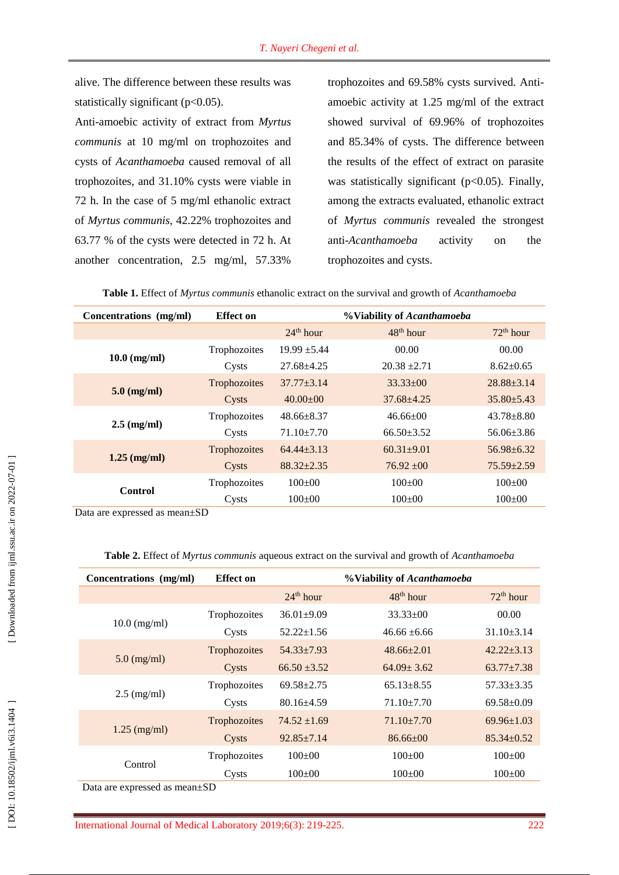alive. The difference between these results was statistically significant  $(p<0.05)$ .

Anti -amoebic activity of extract from *Myrtus communis* at 10 mg/ml on trophozoites and cysts of *Acanthamoeba* caused removal of all trophozoite s, and 31.10% cysts were viable in 72 h. In the case of 5 mg/ml ethanolic extract of *Myrtus communis*, 42.22 % trophozoites and 63.77 % of the cysts were detected in 72 h. At another concentration, 2.5 mg/ml, 57.33%

trophozoites and 69.58% cysts survived. Anti amoebic activity at 1.25 mg/ml of the extract showed survival of 69.96% of trophozoites and 85.34% of cysts. The difference between the results of the effect of extract on parasite was statistically significant ( $p<0.05$ ). Finally, among the extracts evaluated, ethanolic extract of *Myrtus communis* revealed the strongest anti -*Acanthamoeba* activity on the trophozoites and cysts.

|  |  |  | Table 1. Effect of <i>Myrtus communis</i> ethanolic extract on the survival and growth of <i>Acanthamoeba</i> |  |  |  |  |
|--|--|--|---------------------------------------------------------------------------------------------------------------|--|--|--|--|
|--|--|--|---------------------------------------------------------------------------------------------------------------|--|--|--|--|

| Concentrations (mg/ml) | <b>Effect</b> on |                       | %Viability of Acanthamoeba |                       |
|------------------------|------------------|-----------------------|----------------------------|-----------------------|
|                        |                  | 24 <sup>th</sup> hour | $48th$ hour                | 72 <sup>th</sup> hour |
|                        | Trophozoites     | $19.99 \pm 5.44$      | 00.00                      | 00.00                 |
| $10.0$ (mg/ml)         | Cysts            | $27.68 + 4.25$        | $20.38 \pm 2.71$           | $8.62 \pm 0.65$       |
|                        | Trophozoites     | $37.77 \pm 3.14$      | $33.33 \pm 00$             | $28.88 \pm 3.14$      |
| $5.0$ (mg/ml)          | Cysts            | $40.00 \pm 00$        | $37.68 \pm 4.25$           | $35.80 \pm 5.43$      |
|                        | Trophozoites     | $48.66 \pm 8.37$      | $46.66 \pm 00$             | $43.78 + 8.80$        |
| $2.5 \text{ (mg/ml)}$  | Cysts            | $71.10 \pm 7.70$      | $66.50 \pm 3.52$           | $56.06\pm3.86$        |
|                        | Trophozoites     | $64.44 + 3.13$        | $60.31 + 9.01$             | $56.98 + 6.32$        |
| $1.25$ (mg/ml)         | Cysts            | $88.32 \pm 2.35$      | $76.92 \pm 00$             | $75.59 \pm 2.59$      |
| Control                | Trophozoites     | $100+00$              | $100+00$                   | $100+00$              |
|                        | Cysts            | $100 \pm 00$          | $100 \pm 00$               | $100 \pm 00$          |

Data are expressed as mean±SD

**Table 2.** Effect of *Myrtus communis* aqueous extract on the survival and growth of *Acanthamoeba*

| Concentrations (mg/ml)                                  | <b>Effect</b> on               | %Viability of Acanthamoeba |                  |                       |  |
|---------------------------------------------------------|--------------------------------|----------------------------|------------------|-----------------------|--|
|                                                         |                                | 24 <sup>th</sup> hour      | $48th$ hour      | 72 <sup>th</sup> hour |  |
|                                                         | Trophozoites                   | $36.01 \pm 9.09$           | $33.33 \pm 00$   | 00.00                 |  |
| $10.0$ (mg/ml)                                          | Cysts                          | $52.22 \pm 1.56$           | $46.66 \pm 6.66$ | $31.10\pm3.14$        |  |
|                                                         | Trophozoites                   | $54.33 \pm 7.93$           | $48.66 \pm 2.01$ | $42.22 \pm 3.13$      |  |
| $5.0$ (mg/ml)                                           | Cysts                          | $66.50 \pm 3.52$           | $64.09 \pm 3.62$ | $63.77 \pm 7.38$      |  |
|                                                         | Trophozoites                   | $69.58 \pm 2.75$           | $65.13 \pm 8.55$ | $57.33 \pm 3.35$      |  |
| $2.5 \text{ (mg/ml)}$                                   | Cysts                          | $80.16 \pm 4.59$           | $71.10 \pm 7.70$ | $69.58 \pm 0.09$      |  |
|                                                         | Trophozoites                   | $74.52 \pm 1.69$           | $71.10\pm7.70$   | $69.96 \pm 1.03$      |  |
| $1.25$ (mg/ml)                                          | Cysts                          | $92.85 \pm 7.14$           | $86.66 \pm 00$   | $85.34 \pm 0.52$      |  |
|                                                         | Trophozoites                   | $100 \pm 00$               | $100 \pm 00$     | $100 \pm 00$          |  |
| Control<br>$1 - 1 - 1$<br>$\mathbf{D}$ and $\mathbf{D}$ | Cysts<br>$\alpha$ $\mathbf{D}$ | $100 \pm 00$               | $100 \pm 00$     | $100 \pm 00$          |  |

Data are expressed as mean±SD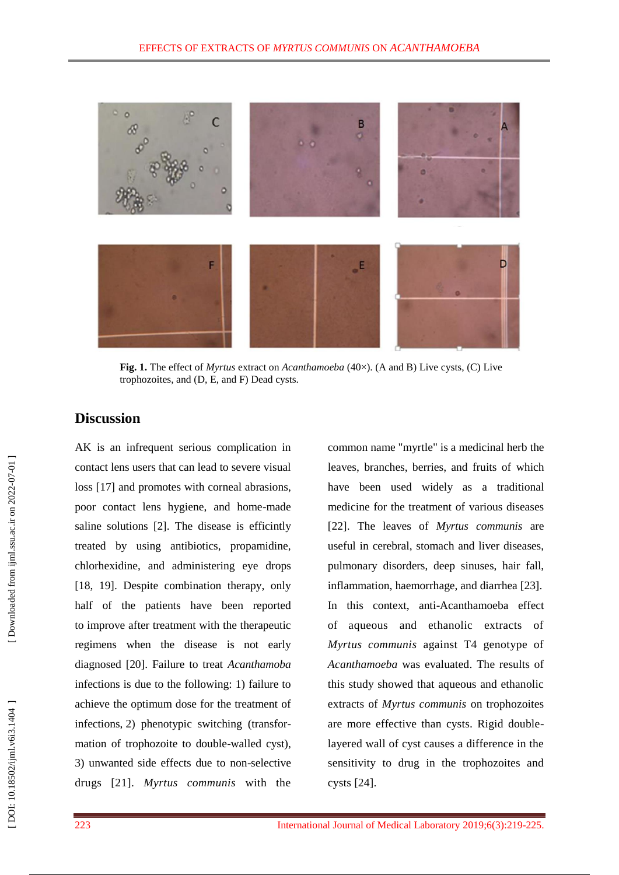

**Fig. 1.** The effect of *Myrtus* extract on *Acanthamoeba* (40×). (A and B) Live cysts, (C) Live trophozoites, and (D, E, and F) Dead cysts.

### **Discussion**

AK is an infrequent serious complication in contact lens users that can lead to severe visual loss [17] and promote s with corneal abrasions, poor contact lens hygiene, and home -made saline solutions [2]. The disease is efficintly treated by using antibiotics, propamidine, chlorhexidine, and administering eye drops [18, 19]. Despite combination therapy, only half of the patients have been reported to improve after treatment with the therapeutic regimens when the disease is not early diagnosed [20]. Failure to treat *Acanthamoba* infections is due to the following: 1) failure to achieve the optimum dose for the treatment of infections, 2) phenotypic switching (transfor mation of trophozoite to double -walled cyst), 3) unwanted side effects due to non -selective drugs [21]. *Myrtus communis* with the

common name "myrtle" is a medicinal herb the leaves, branches, berries, and fruits of whic h have been used widely as a traditional medicine for the treatment of various diseases [22] . The leaves of *Myrtus communis* are useful in cerebral, stomach and liver diseases, pulmonary disorders, deep sinuses, hair fall, inflammation, haemorrhage , and diarrhea [23]. In this context, anti -Acanthamoeba effect of aqueous and ethanolic extracts of *Myrtus communis* against T4 genotype of *Acanthamoeba* was evaluated. The results of this study showed that aqueous and ethanolic extracts of *Myrtus communis* on trophozoites are more effective than cysts. Rigid double layered wall of cyst causes a difference in the sensitivity to drug in the trophozoites and cysts [24] .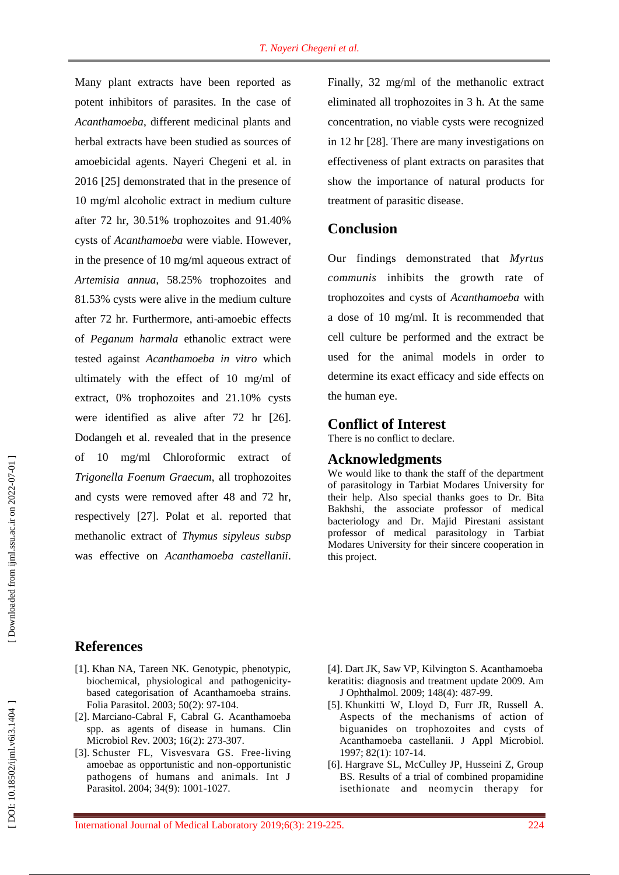Many plant extracts have been reported as potent inhibitors of parasites. In the case of *Acanthamoeba*, different medicinal plants and herbal extracts have been studied as sources of amoebicidal agents. Nayeri Chegeni et al. in 2016 [25] demonstrated that in the presence of 10 mg/ml alcoholic extract in medium culture after 72 h r, 30.51% trophozoites and 91.40% cysts of *Acanthamoeba* were viable. However, in the presence of 10 mg/ml aqueous extract of *Artemisia annua,* 58.25% trophozoites and 81.53% cysts were alive in the medium culture after 72 h r. Furthermore, anti -amoebic effects of *Peganum harmala* ethanolic extract were tested against *Acanthamoeba in vitro* which ultimately with the effect of 10 mg/ml of extract, 0% trophozoites and 21.10% cysts were identified as alive after 72 hr [26]. Dodangeh et al. revealed that in the presence of 10 mg/ml Chloroformic extract of *Trigonella Foenum Graecum*, all trophozoites and cysts were removed after 48 and 72 h r, respectively [27]. Polat et al. reported that methanolic extract of *Thymus sipyleus subsp* was effective on *Acanthamoeba castellanii*.

Finally, 32 mg/ml of the methanolic extract eliminated all trophozoites in 3 h. At the same concentration, no viable cysts were recognized in 12 h r [28]. There are many investigations on effectiveness of plant extract s on parasites that show the importance of natural products for treatment of parasitic disease .

## **Conclusion**

Our findings demonstrated that *Myrtus communis* inhibits the growth rate of trophozoites and cysts of *Acanthamoeba* with a dose of 10 mg/ml. It is recommended that cell culture be performed and the extract be used for the animal model s in order to determine its exact efficacy and side effects on the human eye.

## **Conflict of Interest**

There is no conflict to declare.

### **Acknowledgments**

We would like to thank the staff of the department of parasitology in Tarbiat Modares University for their help. Also special thanks goes to Dr. Bita Bakhshi, the associate professor of medical bacteriology and Dr. Majid Pirestani assistant professor of medical parasitology in Tarbiat Modares University for their sincere cooperation in this project.

# **References**

- [1]. Khan NA, Tareen NK. Genotypic, phenotypic, biochemical, physiological and pathogenicity based categorisation of Acanthamoeba strains. Folia Parasitol. 2003; 50(2): 97 -104.
- [2]. Marciano -Cabral F, Cabral G. Acanthamoeba spp. as agents of disease in humans. Clin Microbiol Rev. 2003; 16(2): 273 -307.
- [3]. Schuster FL, Visvesvara GS. Free-living amoebae as opportunistic and non -opportunistic pathogens of humans and animals. Int J Parasitol. 2004; 34(9): 1001 -1027.
- [4]. Dart JK, Saw VP, Kilvington S. Acanthamoeba keratitis: diagnosis and treatment update 2009. Am J Ophthalmol. 2009; 148(4): 487 - 9 9 .
- [5]. Khunkitti W, Lloyd D, Furr JR, Russell A. Aspects of the mechanisms of action of biguanides on trophozoites and cysts of Acanthamoeba castellanii. J Appl Microbiol. 1997; 82(1): 107 -14.
- [6]. Hargrave SL, McCulley JP, Husseini Z, Group BS. Results of a trial of combined propamidine isethionate and neomycin therapy for